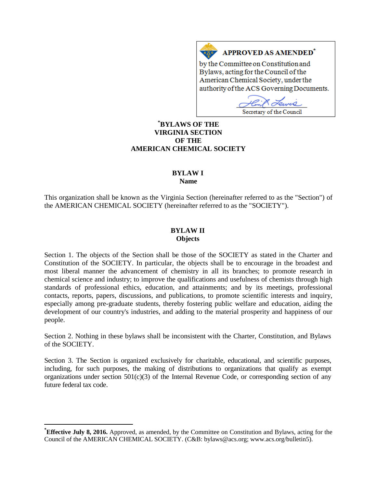# **APPROVED AS AMENDED<sup>\*</sup>**

by the Committee on Constitution and Bylaws, acting for the Council of the American Chemical Society, under the authority of the ACS Governing Documents.

чÒ Secretary of the Council

# **[\\*](#page-0-0) BYLAWS OF THE VIRGINIA SECTION OF THE AMERICAN CHEMICAL SOCIETY**

 $A \underline{X}$ 

# **BYLAW I**

**Name**

This organization shall be known as the Virginia Section (hereinafter referred to as the "Section") of the AMERICAN CHEMICAL SOCIETY (hereinafter referred to as the "SOCIETY").

# **BYLAW II Objects**

Section 1. The objects of the Section shall be those of the SOCIETY as stated in the Charter and Constitution of the SOCIETY. In particular, the objects shall be to encourage in the broadest and most liberal manner the advancement of chemistry in all its branches; to promote research in chemical science and industry; to improve the qualifications and usefulness of chemists through high standards of professional ethics, education, and attainments; and by its meetings, professional contacts, reports, papers, discussions, and publications, to promote scientific interests and inquiry, especially among pre-graduate students, thereby fostering public welfare and education, aiding the development of our country's industries, and adding to the material prosperity and happiness of our people.

Section 2. Nothing in these bylaws shall be inconsistent with the Charter, Constitution, and Bylaws of the SOCIETY.

Section 3. The Section is organized exclusively for charitable, educational, and scientific purposes, including, for such purposes, the making of distributions to organizations that qualify as exempt organizations under section  $501(c)(3)$  of the Internal Revenue Code, or corresponding section of any future federal tax code.

<span id="page-0-0"></span>**\* Effective July 8, 2016.** Approved, as amended, by the Committee on Constitution and Bylaws, acting for the Council of the AMERICAN CHEMICAL SOCIETY. (C&B: bylaws@acs.org; www.acs.org/bulletin5).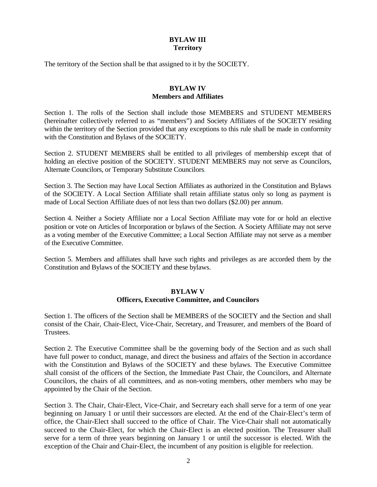# **BYLAW III Territory**

The territory of the Section shall be that assigned to it by the SOCIETY.

# **BYLAW IV Members and Affiliates**

Section 1. The rolls of the Section shall include those MEMBERS and STUDENT MEMBERS (hereinafter collectively referred to as "members") and Society Affiliates of the SOCIETY residing within the territory of the Section provided that any exceptions to this rule shall be made in conformity with the Constitution and Bylaws of the SOCIETY.

Section 2. STUDENT MEMBERS shall be entitled to all privileges of membership except that of holding an elective position of the SOCIETY. STUDENT MEMBERS may not serve as Councilors, Alternate Councilors, or Temporary Substitute Councilors.

Section 3. The Section may have Local Section Affiliates as authorized in the Constitution and Bylaws of the SOCIETY. A Local Section Affiliate shall retain affiliate status only so long as payment is made of Local Section Affiliate dues of not less than two dollars (\$2.00) per annum.

Section 4. Neither a Society Affiliate nor a Local Section Affiliate may vote for or hold an elective position or vote on Articles of Incorporation or bylaws of the Section. A Society Affiliate may not serve as a voting member of the Executive Committee; a Local Section Affiliate may not serve as a member of the Executive Committee.

Section 5. Members and affiliates shall have such rights and privileges as are accorded them by the Constitution and Bylaws of the SOCIETY and these bylaws.

#### **BYLAW V Officers, Executive Committee, and Councilors**

Section 1. The officers of the Section shall be MEMBERS of the SOCIETY and the Section and shall consist of the Chair, Chair-Elect, Vice-Chair, Secretary, and Treasurer, and members of the Board of **Trustees** 

Section 2. The Executive Committee shall be the governing body of the Section and as such shall have full power to conduct, manage, and direct the business and affairs of the Section in accordance with the Constitution and Bylaws of the SOCIETY and these bylaws. The Executive Committee shall consist of the officers of the Section, the Immediate Past Chair, the Councilors, and Alternate Councilors, the chairs of all committees, and as non-voting members, other members who may be appointed by the Chair of the Section.

Section 3. The Chair, Chair-Elect, Vice-Chair, and Secretary each shall serve for a term of one year beginning on January 1 or until their successors are elected. At the end of the Chair-Elect's term of office, the Chair-Elect shall succeed to the office of Chair. The Vice-Chair shall not automatically succeed to the Chair-Elect, for which the Chair-Elect is an elected position. The Treasurer shall serve for a term of three years beginning on January 1 or until the successor is elected. With the exception of the Chair and Chair-Elect, the incumbent of any position is eligible for reelection.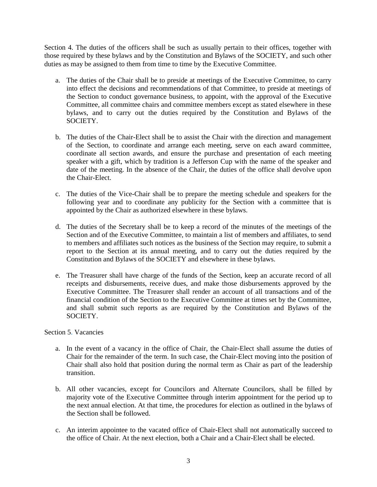Section 4. The duties of the officers shall be such as usually pertain to their offices, together with those required by these bylaws and by the Constitution and Bylaws of the SOCIETY, and such other duties as may be assigned to them from time to time by the Executive Committee.

- a. The duties of the Chair shall be to preside at meetings of the Executive Committee, to carry into effect the decisions and recommendations of that Committee, to preside at meetings of the Section to conduct governance business, to appoint, with the approval of the Executive Committee, all committee chairs and committee members except as stated elsewhere in these bylaws, and to carry out the duties required by the Constitution and Bylaws of the SOCIETY.
- b. The duties of the Chair-Elect shall be to assist the Chair with the direction and management of the Section, to coordinate and arrange each meeting, serve on each award committee, coordinate all section awards, and ensure the purchase and presentation of each meeting speaker with a gift, which by tradition is a Jefferson Cup with the name of the speaker and date of the meeting. In the absence of the Chair, the duties of the office shall devolve upon the Chair-Elect.
- c. The duties of the Vice-Chair shall be to prepare the meeting schedule and speakers for the following year and to coordinate any publicity for the Section with a committee that is appointed by the Chair as authorized elsewhere in these bylaws.
- d. The duties of the Secretary shall be to keep a record of the minutes of the meetings of the Section and of the Executive Committee, to maintain a list of members and affiliates, to send to members and affiliates such notices as the business of the Section may require, to submit a report to the Section at its annual meeting, and to carry out the duties required by the Constitution and Bylaws of the SOCIETY and elsewhere in these bylaws.
- e. The Treasurer shall have charge of the funds of the Section, keep an accurate record of all receipts and disbursements, receive dues, and make those disbursements approved by the Executive Committee. The Treasurer shall render an account of all transactions and of the financial condition of the Section to the Executive Committee at times set by the Committee, and shall submit such reports as are required by the Constitution and Bylaws of the SOCIETY.

#### Section 5. Vacancies

- a. In the event of a vacancy in the office of Chair, the Chair-Elect shall assume the duties of Chair for the remainder of the term. In such case, the Chair-Elect moving into the position of Chair shall also hold that position during the normal term as Chair as part of the leadership transition.
- b. All other vacancies, except for Councilors and Alternate Councilors, shall be filled by majority vote of the Executive Committee through interim appointment for the period up to the next annual election. At that time, the procedures for election as outlined in the bylaws of the Section shall be followed.
- c. An interim appointee to the vacated office of Chair-Elect shall not automatically succeed to the office of Chair. At the next election, both a Chair and a Chair-Elect shall be elected.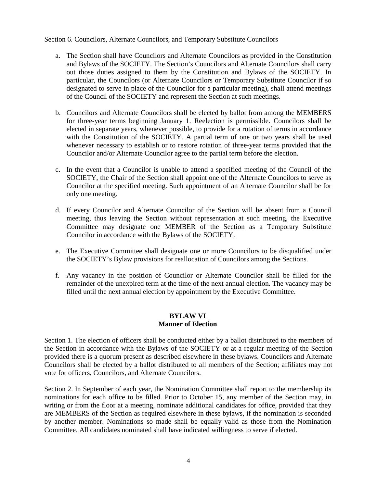Section 6. Councilors, Alternate Councilors, and Temporary Substitute Councilors

- a. The Section shall have Councilors and Alternate Councilors as provided in the Constitution and Bylaws of the SOCIETY. The Section's Councilors and Alternate Councilors shall carry out those duties assigned to them by the Constitution and Bylaws of the SOCIETY. In particular, the Councilors (or Alternate Councilors or Temporary Substitute Councilor if so designated to serve in place of the Councilor for a particular meeting), shall attend meetings of the Council of the SOCIETY and represent the Section at such meetings.
- b. Councilors and Alternate Councilors shall be elected by ballot from among the MEMBERS for three-year terms beginning January 1. Reelection is permissible. Councilors shall be elected in separate years, whenever possible, to provide for a rotation of terms in accordance with the Constitution of the SOCIETY. A partial term of one or two years shall be used whenever necessary to establish or to restore rotation of three-year terms provided that the Councilor and/or Alternate Councilor agree to the partial term before the election.
- c. In the event that a Councilor is unable to attend a specified meeting of the Council of the SOCIETY, the Chair of the Section shall appoint one of the Alternate Councilors to serve as Councilor at the specified meeting. Such appointment of an Alternate Councilor shall be for only one meeting.
- d. If every Councilor and Alternate Councilor of the Section will be absent from a Council meeting, thus leaving the Section without representation at such meeting, the Executive Committee may designate one MEMBER of the Section as a Temporary Substitute Councilor in accordance with the Bylaws of the SOCIETY.
- e. The Executive Committee shall designate one or more Councilors to be disqualified under the SOCIETY's Bylaw provisions for reallocation of Councilors among the Sections.
- f. Any vacancy in the position of Councilor or Alternate Councilor shall be filled for the remainder of the unexpired term at the time of the next annual election. The vacancy may be filled until the next annual election by appointment by the Executive Committee.

#### **BYLAW VI Manner of Election**

Section 1. The election of officers shall be conducted either by a ballot distributed to the members of the Section in accordance with the Bylaws of the SOCIETY or at a regular meeting of the Section provided there is a quorum present as described elsewhere in these bylaws. Councilors and Alternate Councilors shall be elected by a ballot distributed to all members of the Section; affiliates may not vote for officers, Councilors, and Alternate Councilors.

Section 2. In September of each year, the Nomination Committee shall report to the membership its nominations for each office to be filled. Prior to October 15, any member of the Section may, in writing or from the floor at a meeting, nominate additional candidates for office, provided that they are MEMBERS of the Section as required elsewhere in these bylaws, if the nomination is seconded by another member. Nominations so made shall be equally valid as those from the Nomination Committee. All candidates nominated shall have indicated willingness to serve if elected.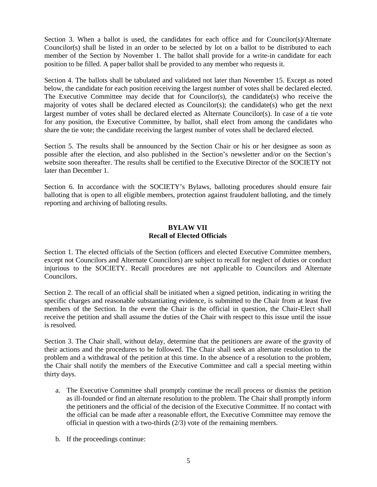Section 3. When a ballot is used, the candidates for each office and for Councilor(s)/Alternate Councilor(s) shall be listed in an order to be selected by lot on a ballot to be distributed to each member of the Section by November 1. The ballot shall provide for a write-in candidate for each position to be filled. A paper ballot shall be provided to any member who requests it.

Section 4. The ballots shall be tabulated and validated not later than November 15. Except as noted below, the candidate for each position receiving the largest number of votes shall be declared elected. The Executive Committee may decide that for Councilor(s), the candidate(s) who receive the majority of votes shall be declared elected as Councilor(s); the candidate(s) who get the next largest number of votes shall be declared elected as Alternate Councilor(s). In case of a tie vote for any position, the Executive Committee, by ballot, shall elect from among the candidates who share the tie vote; the candidate receiving the largest number of votes shall be declared elected.

Section 5. The results shall be announced by the Section Chair or his or her designee as soon as possible after the election, and also published in the Section's newsletter and/or on the Section's website soon thereafter. The results shall be certified to the Executive Director of the SOCIETY not later than December 1.

Section 6. In accordance with the SOCIETY's Bylaws, balloting procedures should ensure fair balloting that is open to all eligible members, protection against fraudulent balloting, and the timely reporting and archiving of balloting results.

#### **BYLAW VII Recall of Elected Officials**

Section 1. The elected officials of the Section (officers and elected Executive Committee members, except not Councilors and Alternate Councilors) are subject to recall for neglect of duties or conduct injurious to the SOCIETY. Recall procedures are not applicable to Councilors and Alternate Councilors.

Section 2. The recall of an official shall be initiated when a signed petition, indicating in writing the specific charges and reasonable substantiating evidence, is submitted to the Chair from at least five members of the Section. In the event the Chair is the official in question, the Chair-Elect shall receive the petition and shall assume the duties of the Chair with respect to this issue until the issue is resolved.

Section 3. The Chair shall, without delay, determine that the petitioners are aware of the gravity of their actions and the procedures to be followed. The Chair shall seek an alternate resolution to the problem and a withdrawal of the petition at this time. In the absence of a resolution to the problem, the Chair shall notify the members of the Executive Committee and call a special meeting within thirty days.

- a. The Executive Committee shall promptly continue the recall process or dismiss the petition as ill-founded or find an alternate resolution to the problem. The Chair shall promptly inform the petitioners and the official of the decision of the Executive Committee. If no contact with the official can be made after a reasonable effort, the Executive Committee may remove the official in question with a two-thirds (2/3) vote of the remaining members.
- b. If the proceedings continue: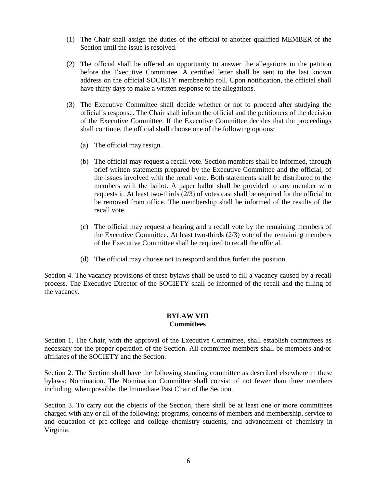- (1) The Chair shall assign the duties of the official to another qualified MEMBER of the Section until the issue is resolved.
- (2) The official shall be offered an opportunity to answer the allegations in the petition before the Executive Committee. A certified letter shall be sent to the last known address on the official SOCIETY membership roll. Upon notification, the official shall have thirty days to make a written response to the allegations.
- (3) The Executive Committee shall decide whether or not to proceed after studying the official's response. The Chair shall inform the official and the petitioners of the decision of the Executive Committee. If the Executive Committee decides that the proceedings shall continue, the official shall choose one of the following options:
	- (a) The official may resign.
	- (b) The official may request a recall vote. Section members shall be informed, through brief written statements prepared by the Executive Committee and the official, of the issues involved with the recall vote. Both statements shall be distributed to the members with the ballot. A paper ballot shall be provided to any member who requests it. At least two-thirds (2/3) of votes cast shall be required for the official to be removed from office. The membership shall be informed of the results of the recall vote.
	- (c) The official may request a hearing and a recall vote by the remaining members of the Executive Committee. At least two-thirds (2/3) vote of the remaining members of the Executive Committee shall be required to recall the official.
	- (d) The official may choose not to respond and thus forfeit the position.

Section 4. The vacancy provisions of these bylaws shall be used to fill a vacancy caused by a recall process. The Executive Director of the SOCIETY shall be informed of the recall and the filling of the vacancy.

#### **BYLAW VIII Committees**

Section 1. The Chair, with the approval of the Executive Committee, shall establish committees as necessary for the proper operation of the Section. All committee members shall be members and/or affiliates of the SOCIETY and the Section.

Section 2. The Section shall have the following standing committee as described elsewhere in these bylaws: Nomination. The Nomination Committee shall consist of not fewer than three members including, when possible, the Immediate Past Chair of the Section.

Section 3. To carry out the objects of the Section, there shall be at least one or more committees charged with any or all of the following: programs, concerns of members and membership, service to and education of pre-college and college chemistry students, and advancement of chemistry in Virginia.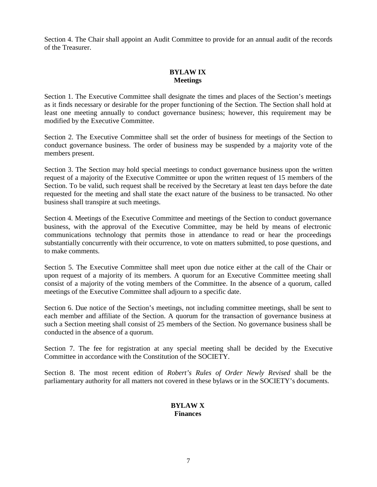Section 4. The Chair shall appoint an Audit Committee to provide for an annual audit of the records of the Treasurer.

# **BYLAW IX Meetings**

Section 1. The Executive Committee shall designate the times and places of the Section's meetings as it finds necessary or desirable for the proper functioning of the Section. The Section shall hold at least one meeting annually to conduct governance business; however, this requirement may be modified by the Executive Committee.

Section 2. The Executive Committee shall set the order of business for meetings of the Section to conduct governance business. The order of business may be suspended by a majority vote of the members present.

Section 3. The Section may hold special meetings to conduct governance business upon the written request of a majority of the Executive Committee or upon the written request of 15 members of the Section. To be valid, such request shall be received by the Secretary at least ten days before the date requested for the meeting and shall state the exact nature of the business to be transacted. No other business shall transpire at such meetings.

Section 4. Meetings of the Executive Committee and meetings of the Section to conduct governance business, with the approval of the Executive Committee, may be held by means of electronic communications technology that permits those in attendance to read or hear the proceedings substantially concurrently with their occurrence, to vote on matters submitted, to pose questions, and to make comments.

Section 5. The Executive Committee shall meet upon due notice either at the call of the Chair or upon request of a majority of its members. A quorum for an Executive Committee meeting shall consist of a majority of the voting members of the Committee. In the absence of a quorum, called meetings of the Executive Committee shall adjourn to a specific date.

Section 6. Due notice of the Section's meetings, not including committee meetings, shall be sent to each member and affiliate of the Section. A quorum for the transaction of governance business at such a Section meeting shall consist of 25 members of the Section. No governance business shall be conducted in the absence of a quorum.

Section 7. The fee for registration at any special meeting shall be decided by the Executive Committee in accordance with the Constitution of the SOCIETY.

Section 8. The most recent edition of *Robert's Rules of Order Newly Revised* shall be the parliamentary authority for all matters not covered in these bylaws or in the SOCIETY's documents.

#### **BYLAW X Finances**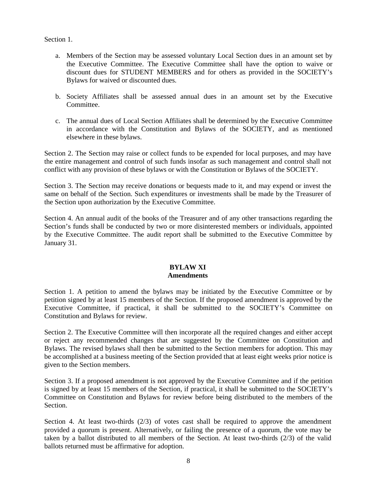Section 1.

- a. Members of the Section may be assessed voluntary Local Section dues in an amount set by the Executive Committee. The Executive Committee shall have the option to waive or discount dues for STUDENT MEMBERS and for others as provided in the SOCIETY's Bylaws for waived or discounted dues.
- b. Society Affiliates shall be assessed annual dues in an amount set by the Executive Committee.
- c. The annual dues of Local Section Affiliates shall be determined by the Executive Committee in accordance with the Constitution and Bylaws of the SOCIETY, and as mentioned elsewhere in these bylaws.

Section 2. The Section may raise or collect funds to be expended for local purposes, and may have the entire management and control of such funds insofar as such management and control shall not conflict with any provision of these bylaws or with the Constitution or Bylaws of the SOCIETY.

Section 3. The Section may receive donations or bequests made to it, and may expend or invest the same on behalf of the Section. Such expenditures or investments shall be made by the Treasurer of the Section upon authorization by the Executive Committee.

Section 4. An annual audit of the books of the Treasurer and of any other transactions regarding the Section's funds shall be conducted by two or more disinterested members or individuals, appointed by the Executive Committee. The audit report shall be submitted to the Executive Committee by January 31.

#### **BYLAW XI Amendments**

Section 1. A petition to amend the bylaws may be initiated by the Executive Committee or by petition signed by at least 15 members of the Section. If the proposed amendment is approved by the Executive Committee, if practical, it shall be submitted to the SOCIETY's Committee on Constitution and Bylaws for review.

Section 2. The Executive Committee will then incorporate all the required changes and either accept or reject any recommended changes that are suggested by the Committee on Constitution and Bylaws. The revised bylaws shall then be submitted to the Section members for adoption. This may be accomplished at a business meeting of the Section provided that at least eight weeks prior notice is given to the Section members.

Section 3. If a proposed amendment is not approved by the Executive Committee and if the petition is signed by at least 15 members of the Section, if practical, it shall be submitted to the SOCIETY's Committee on Constitution and Bylaws for review before being distributed to the members of the Section.

Section 4. At least two-thirds  $(2/3)$  of votes cast shall be required to approve the amendment provided a quorum is present. Alternatively, or failing the presence of a quorum, the vote may be taken by a ballot distributed to all members of the Section. At least two-thirds (2/3) of the valid ballots returned must be affirmative for adoption.